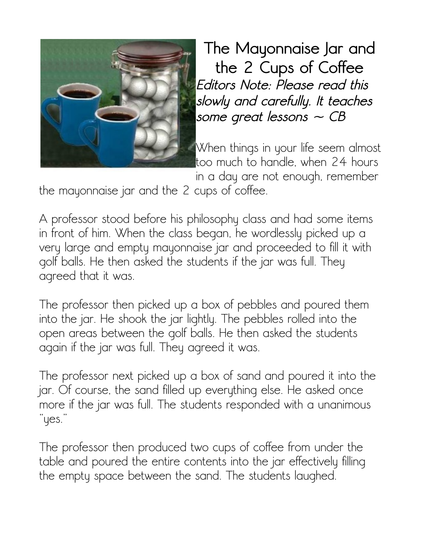

**The Mayonnaise Jar and the 2 Cups of Coffee Editors Note: Please read this slowly and carefully. It teaches some great lessons ~ CB**

When things in your life seem almost too much to handle, when 24 hours

in a day are not enough, remember

the mayonnaise jar and the 2 cups of coffee.

A professor stood before his philosophy class and had some items in front of him. When the class began, he wordlessly picked up a very large and empty mayonnaise jar and proceeded to fill it with golf balls. He then asked the students if the jar was full. They agreed that it was.

The professor then picked up a box of pebbles and poured them into the jar. He shook the jar lightly. The pebbles rolled into the open areas between the golf balls. He then asked the students again if the jar was full. They agreed it was.

The professor next picked up a box of sand and poured it into the jar. Of course, the sand filled up everything else. He asked once more if the jar was full. The students responded with a unanimous "yes."

The professor then produced two cups of coffee from under the table and poured the entire contents into the jar effectively filling the empty space between the sand. The students laughed.